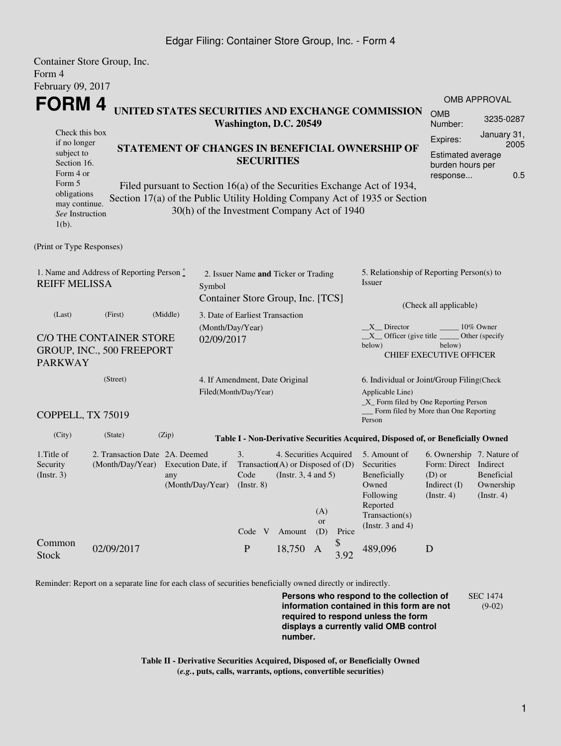## Edgar Filing: Container Store Group, Inc. - Form 4

|                                                                                                    | Container Store Group, Inc.    |                                                                         |                                             |                                                     |                                   |                                      |                                                                                 |                        |                                                                                  |                                          |                                |  |  |
|----------------------------------------------------------------------------------------------------|--------------------------------|-------------------------------------------------------------------------|---------------------------------------------|-----------------------------------------------------|-----------------------------------|--------------------------------------|---------------------------------------------------------------------------------|------------------------|----------------------------------------------------------------------------------|------------------------------------------|--------------------------------|--|--|
| Form 4                                                                                             |                                |                                                                         |                                             |                                                     |                                   |                                      |                                                                                 |                        |                                                                                  |                                          |                                |  |  |
| February 09, 2017                                                                                  |                                |                                                                         |                                             |                                                     |                                   |                                      |                                                                                 |                        |                                                                                  |                                          |                                |  |  |
| <b>FORM4</b><br>UNITED STATES SECURITIES AND EXCHANGE COMMISSION<br>Washington, D.C. 20549         |                                |                                                                         |                                             |                                                     |                                   |                                      |                                                                                 | <b>OMB APPROVAL</b>    |                                                                                  |                                          |                                |  |  |
|                                                                                                    |                                |                                                                         |                                             |                                                     |                                   |                                      |                                                                                 | <b>OMB</b><br>Number:  | 3235-0287                                                                        |                                          |                                |  |  |
| Check this box                                                                                     |                                |                                                                         |                                             |                                                     |                                   |                                      |                                                                                 |                        |                                                                                  |                                          | January 31,                    |  |  |
| if no longer<br>STATEMENT OF CHANGES IN BENEFICIAL OWNERSHIP OF                                    |                                |                                                                         |                                             |                                                     |                                   |                                      |                                                                                 |                        |                                                                                  | Expires:                                 | 2005                           |  |  |
| subject to<br>Section 16.                                                                          |                                |                                                                         |                                             |                                                     |                                   | <b>SECURITIES</b>                    |                                                                                 |                        |                                                                                  | <b>Estimated average</b>                 |                                |  |  |
| Form 4 or                                                                                          |                                |                                                                         |                                             |                                                     |                                   |                                      |                                                                                 |                        |                                                                                  | burden hours per<br>0.5<br>response      |                                |  |  |
| Form 5                                                                                             |                                | Filed pursuant to Section 16(a) of the Securities Exchange Act of 1934, |                                             |                                                     |                                   |                                      |                                                                                 |                        |                                                                                  |                                          |                                |  |  |
| obligations<br>may continue.                                                                       |                                |                                                                         |                                             |                                                     |                                   |                                      |                                                                                 |                        | Section 17(a) of the Public Utility Holding Company Act of 1935 or Section       |                                          |                                |  |  |
| See Instruction                                                                                    |                                |                                                                         | 30(h) of the Investment Company Act of 1940 |                                                     |                                   |                                      |                                                                                 |                        |                                                                                  |                                          |                                |  |  |
| $1(b)$ .                                                                                           |                                |                                                                         |                                             |                                                     |                                   |                                      |                                                                                 |                        |                                                                                  |                                          |                                |  |  |
|                                                                                                    |                                |                                                                         |                                             |                                                     |                                   |                                      |                                                                                 |                        |                                                                                  |                                          |                                |  |  |
| (Print or Type Responses)                                                                          |                                |                                                                         |                                             |                                                     |                                   |                                      |                                                                                 |                        |                                                                                  |                                          |                                |  |  |
|                                                                                                    |                                |                                                                         |                                             |                                                     |                                   | 2. Issuer Name and Ticker or Trading |                                                                                 |                        | 5. Relationship of Reporting Person(s) to                                        |                                          |                                |  |  |
| 1. Name and Address of Reporting Person $\stackrel{*}{\text{-}}$<br><b>REIFF MELISSA</b><br>Symbol |                                |                                                                         |                                             |                                                     |                                   |                                      |                                                                                 |                        | Issuer                                                                           |                                          |                                |  |  |
|                                                                                                    |                                |                                                                         |                                             |                                                     | Container Store Group, Inc. [TCS] |                                      |                                                                                 |                        |                                                                                  |                                          |                                |  |  |
| (Last)                                                                                             | (First)                        | (Middle)                                                                | 3. Date of Earliest Transaction             |                                                     |                                   |                                      |                                                                                 | (Check all applicable) |                                                                                  |                                          |                                |  |  |
|                                                                                                    |                                |                                                                         |                                             | (Month/Day/Year)                                    |                                   |                                      |                                                                                 |                        | $X$ Director<br>10% Owner                                                        |                                          |                                |  |  |
| C/O THE CONTAINER STORE                                                                            | 02/09/2017                     |                                                                         |                                             |                                                     |                                   |                                      | $X$ Officer (give title $\overline{\phantom{a}}$<br>Other (specify              |                        |                                                                                  |                                          |                                |  |  |
|                                                                                                    | GROUP, INC., 500 FREEPORT      |                                                                         |                                             |                                                     |                                   |                                      |                                                                                 |                        | below)                                                                           | below)<br><b>CHIEF EXECUTIVE OFFICER</b> |                                |  |  |
| <b>PARKWAY</b>                                                                                     |                                |                                                                         |                                             |                                                     |                                   |                                      |                                                                                 |                        |                                                                                  |                                          |                                |  |  |
|                                                                                                    | (Street)                       |                                                                         |                                             |                                                     |                                   | 4. If Amendment, Date Original       |                                                                                 |                        | 6. Individual or Joint/Group Filing(Check                                        |                                          |                                |  |  |
|                                                                                                    |                                |                                                                         |                                             | Filed(Month/Day/Year)                               |                                   |                                      |                                                                                 |                        | Applicable Line)                                                                 |                                          |                                |  |  |
|                                                                                                    |                                |                                                                         |                                             |                                                     |                                   |                                      | _X_ Form filed by One Reporting Person<br>Form filed by More than One Reporting |                        |                                                                                  |                                          |                                |  |  |
| COPPELL, TX 75019                                                                                  |                                |                                                                         |                                             |                                                     |                                   |                                      |                                                                                 |                        | Person                                                                           |                                          |                                |  |  |
| (City)                                                                                             | (State)                        | (Zip)                                                                   |                                             |                                                     |                                   |                                      |                                                                                 |                        | Table I - Non-Derivative Securities Acquired, Disposed of, or Beneficially Owned |                                          |                                |  |  |
| 1. Title of                                                                                        | 2. Transaction Date 2A. Deemed |                                                                         | 3.<br>4. Securities Acquired                |                                                     |                                   |                                      |                                                                                 |                        | 5. Amount of                                                                     | 6. Ownership 7. Nature of                |                                |  |  |
| Security                                                                                           | (Month/Day/Year)               | Transaction(A) or Disposed of $(D)$<br>Execution Date, if               |                                             |                                                     |                                   |                                      |                                                                                 | Securities             | Form: Direct Indirect                                                            |                                          |                                |  |  |
| $($ Instr. 3 $)$                                                                                   |                                | any                                                                     | (Month/Day/Year)                            | Code<br>(Instr. $3, 4$ and $5$ )<br>$($ Instr. $8)$ |                                   |                                      |                                                                                 |                        | Beneficially<br>Owned                                                            | $(D)$ or<br>Indirect (I)                 | <b>Beneficial</b><br>Ownership |  |  |
|                                                                                                    |                                |                                                                         |                                             |                                                     |                                   |                                      | Following                                                                       | (Insert. 4)            | (Insert. 4)                                                                      |                                          |                                |  |  |
|                                                                                                    |                                |                                                                         |                                             |                                                     |                                   |                                      | (A)                                                                             |                        | Reported                                                                         |                                          |                                |  |  |
|                                                                                                    |                                |                                                                         |                                             |                                                     |                                   |                                      | or                                                                              |                        | Transaction(s)<br>(Instr. $3$ and $4$ )                                          |                                          |                                |  |  |
|                                                                                                    |                                |                                                                         |                                             | Code V                                              |                                   | Amount                               | (D)                                                                             | Price                  |                                                                                  |                                          |                                |  |  |
| Common                                                                                             | 02/09/2017                     |                                                                         |                                             | ${\bf P}$                                           |                                   | 18,750 A                             |                                                                                 | \$                     | 489,096                                                                          | D                                        |                                |  |  |
| <b>Stock</b>                                                                                       |                                |                                                                         |                                             |                                                     |                                   |                                      |                                                                                 | 3.92                   |                                                                                  |                                          |                                |  |  |

Reminder: Report on a separate line for each class of securities beneficially owned directly or indirectly.

**Persons who respond to the collection of information contained in this form are not required to respond unless the form displays a currently valid OMB control number.** SEC 1474 (9-02)

**Table II - Derivative Securities Acquired, Disposed of, or Beneficially Owned (***e.g.***, puts, calls, warrants, options, convertible securities)**